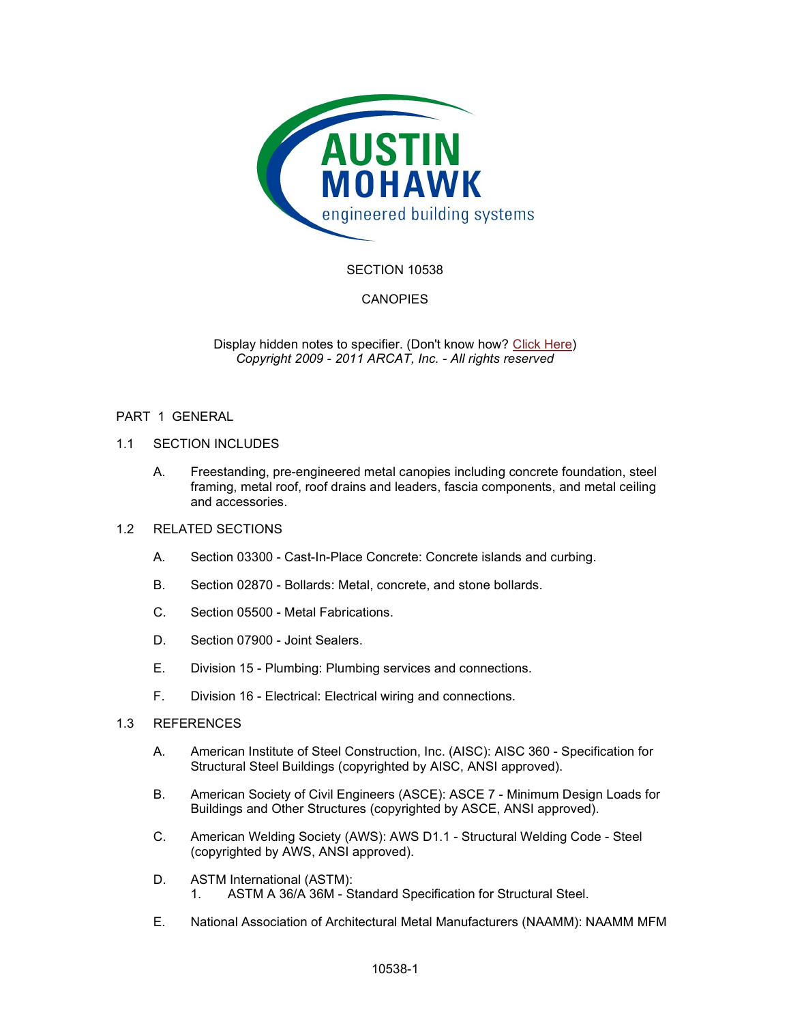

# SECTION 10538

# CANOPIES

Display hidden notes to specifier. (Don't know how? Click Here) Copyright 2009 - 2011 ARCAT, Inc. - All rights reserved

### PART 1 GENERAL

### 1.1 SECTION INCLUDES

A. Freestanding, pre-engineered metal canopies including concrete foundation, steel framing, metal roof, roof drains and leaders, fascia components, and metal ceiling and accessories.

#### 1.2 RELATED SECTIONS

- A. Section 03300 Cast-In-Place Concrete: Concrete islands and curbing.
- B. Section 02870 Bollards: Metal, concrete, and stone bollards.
- C. Section 05500 Metal Fabrications.
- D. Section 07900 Joint Sealers.
- E. Division 15 Plumbing: Plumbing services and connections.
- F. Division 16 Electrical: Electrical wiring and connections.

### 1.3 REFERENCES

- A. American Institute of Steel Construction, Inc. (AISC): AISC 360 Specification for Structural Steel Buildings (copyrighted by AISC, ANSI approved).
- B. American Society of Civil Engineers (ASCE): ASCE 7 Minimum Design Loads for Buildings and Other Structures (copyrighted by ASCE, ANSI approved).
- C. American Welding Society (AWS): AWS D1.1 Structural Welding Code Steel (copyrighted by AWS, ANSI approved).
- D. ASTM International (ASTM): 1. ASTM A 36/A 36M - Standard Specification for Structural Steel.
- E. National Association of Architectural Metal Manufacturers (NAAMM): NAAMM MFM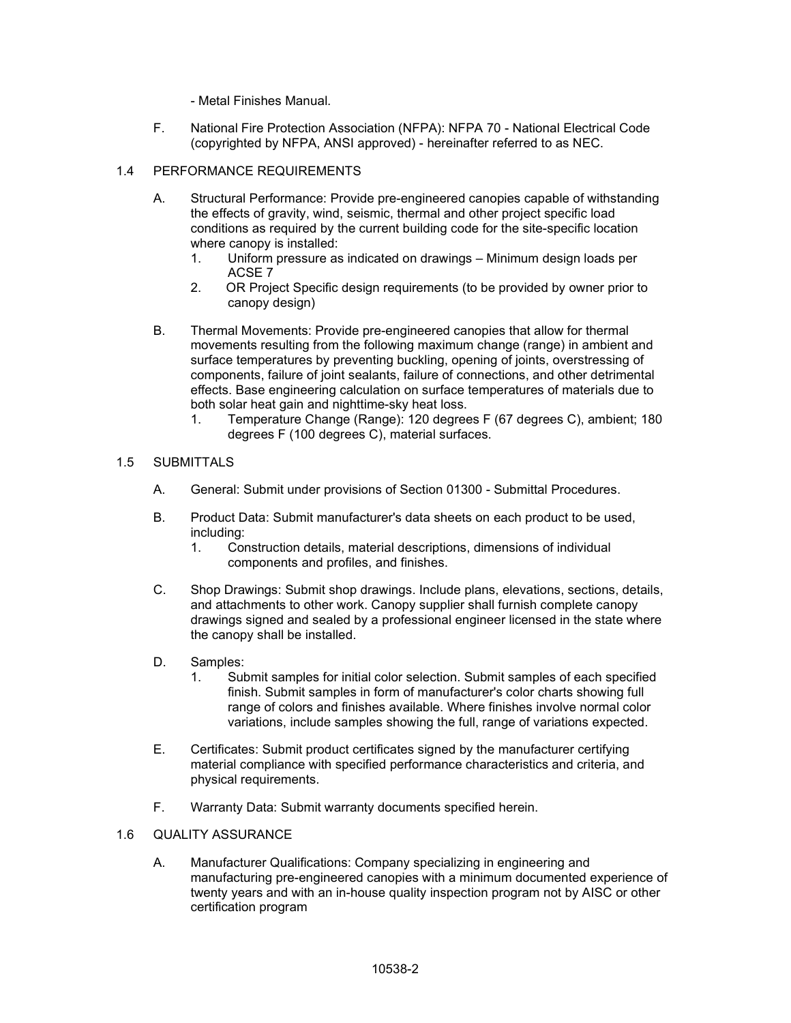- Metal Finishes Manual.

F. National Fire Protection Association (NFPA): NFPA 70 - National Electrical Code (copyrighted by NFPA, ANSI approved) - hereinafter referred to as NEC.

# 1.4 PERFORMANCE REQUIREMENTS

- A. Structural Performance: Provide pre-engineered canopies capable of withstanding the effects of gravity, wind, seismic, thermal and other project specific load conditions as required by the current building code for the site-specific location where canopy is installed:
	- 1. Uniform pressure as indicated on drawings Minimum design loads per ACSE 7
	- 2. OR Project Specific design requirements (to be provided by owner prior to canopy design)
- B. Thermal Movements: Provide pre-engineered canopies that allow for thermal movements resulting from the following maximum change (range) in ambient and surface temperatures by preventing buckling, opening of joints, overstressing of components, failure of joint sealants, failure of connections, and other detrimental effects. Base engineering calculation on surface temperatures of materials due to both solar heat gain and nighttime-sky heat loss.
	- 1. Temperature Change (Range): 120 degrees F (67 degrees C), ambient; 180 degrees F (100 degrees C), material surfaces.

# 1.5 SUBMITTALS

- A. General: Submit under provisions of Section 01300 Submittal Procedures.
- B. Product Data: Submit manufacturer's data sheets on each product to be used, including:
	- 1. Construction details, material descriptions, dimensions of individual components and profiles, and finishes.
- C. Shop Drawings: Submit shop drawings. Include plans, elevations, sections, details, and attachments to other work. Canopy supplier shall furnish complete canopy drawings signed and sealed by a professional engineer licensed in the state where the canopy shall be installed.
- D. Samples:
	- 1. Submit samples for initial color selection. Submit samples of each specified finish. Submit samples in form of manufacturer's color charts showing full range of colors and finishes available. Where finishes involve normal color variations, include samples showing the full, range of variations expected.
- E. Certificates: Submit product certificates signed by the manufacturer certifying material compliance with specified performance characteristics and criteria, and physical requirements.
- F. Warranty Data: Submit warranty documents specified herein.

# 1.6 QUALITY ASSURANCE

A. Manufacturer Qualifications: Company specializing in engineering and manufacturing pre-engineered canopies with a minimum documented experience of twenty years and with an in-house quality inspection program not by AISC or other certification program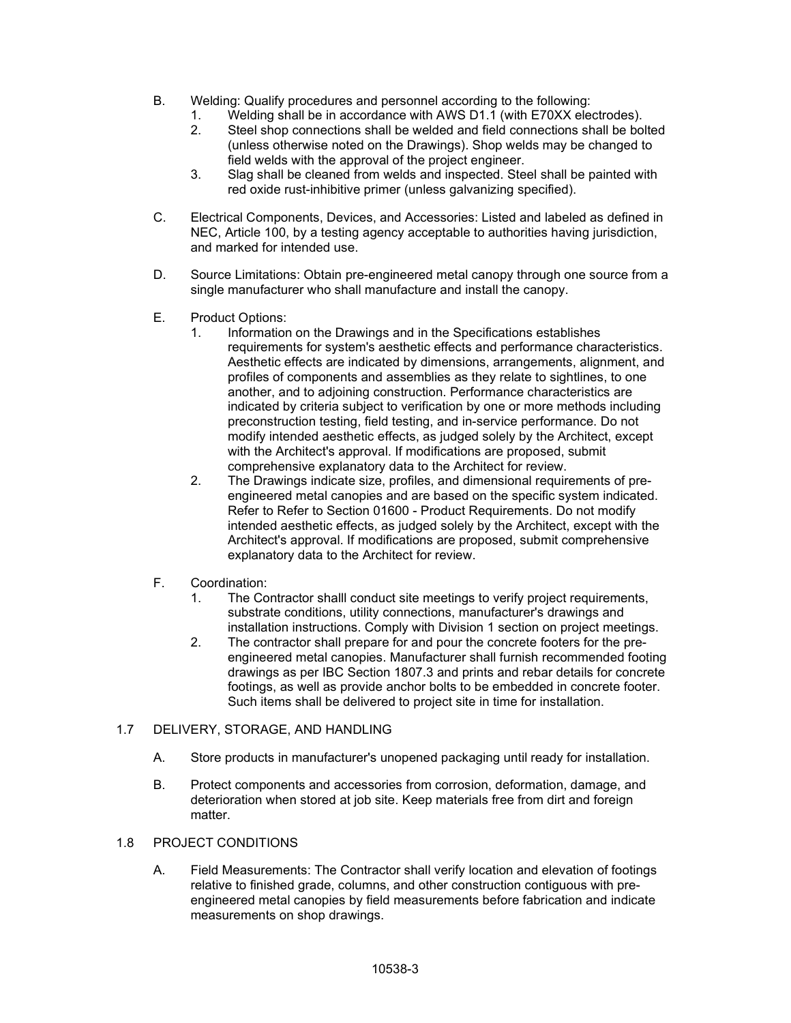- B. Welding: Qualify procedures and personnel according to the following:
	- 1. Welding shall be in accordance with AWS D1.1 (with E70XX electrodes).
	- 2. Steel shop connections shall be welded and field connections shall be bolted (unless otherwise noted on the Drawings). Shop welds may be changed to field welds with the approval of the project engineer.
	- 3. Slag shall be cleaned from welds and inspected. Steel shall be painted with red oxide rust-inhibitive primer (unless galvanizing specified).
- C. Electrical Components, Devices, and Accessories: Listed and labeled as defined in NEC, Article 100, by a testing agency acceptable to authorities having jurisdiction, and marked for intended use.
- D. Source Limitations: Obtain pre-engineered metal canopy through one source from a single manufacturer who shall manufacture and install the canopy.
- E. Product Options:
	- 1. Information on the Drawings and in the Specifications establishes requirements for system's aesthetic effects and performance characteristics. Aesthetic effects are indicated by dimensions, arrangements, alignment, and profiles of components and assemblies as they relate to sightlines, to one another, and to adjoining construction. Performance characteristics are indicated by criteria subject to verification by one or more methods including preconstruction testing, field testing, and in-service performance. Do not modify intended aesthetic effects, as judged solely by the Architect, except with the Architect's approval. If modifications are proposed, submit comprehensive explanatory data to the Architect for review.
	- 2. The Drawings indicate size, profiles, and dimensional requirements of preengineered metal canopies and are based on the specific system indicated. Refer to Refer to Section 01600 - Product Requirements. Do not modify intended aesthetic effects, as judged solely by the Architect, except with the Architect's approval. If modifications are proposed, submit comprehensive explanatory data to the Architect for review.
- F. Coordination:
	- 1. The Contractor shalll conduct site meetings to verify project requirements, substrate conditions, utility connections, manufacturer's drawings and installation instructions. Comply with Division 1 section on project meetings.
	- 2. The contractor shall prepare for and pour the concrete footers for the preengineered metal canopies. Manufacturer shall furnish recommended footing drawings as per IBC Section 1807.3 and prints and rebar details for concrete footings, as well as provide anchor bolts to be embedded in concrete footer. Such items shall be delivered to project site in time for installation.
- 1.7 DELIVERY, STORAGE, AND HANDLING
	- A. Store products in manufacturer's unopened packaging until ready for installation.
	- B. Protect components and accessories from corrosion, deformation, damage, and deterioration when stored at job site. Keep materials free from dirt and foreign matter.

### 1.8 PROJECT CONDITIONS

A. Field Measurements: The Contractor shall verify location and elevation of footings relative to finished grade, columns, and other construction contiguous with preengineered metal canopies by field measurements before fabrication and indicate measurements on shop drawings.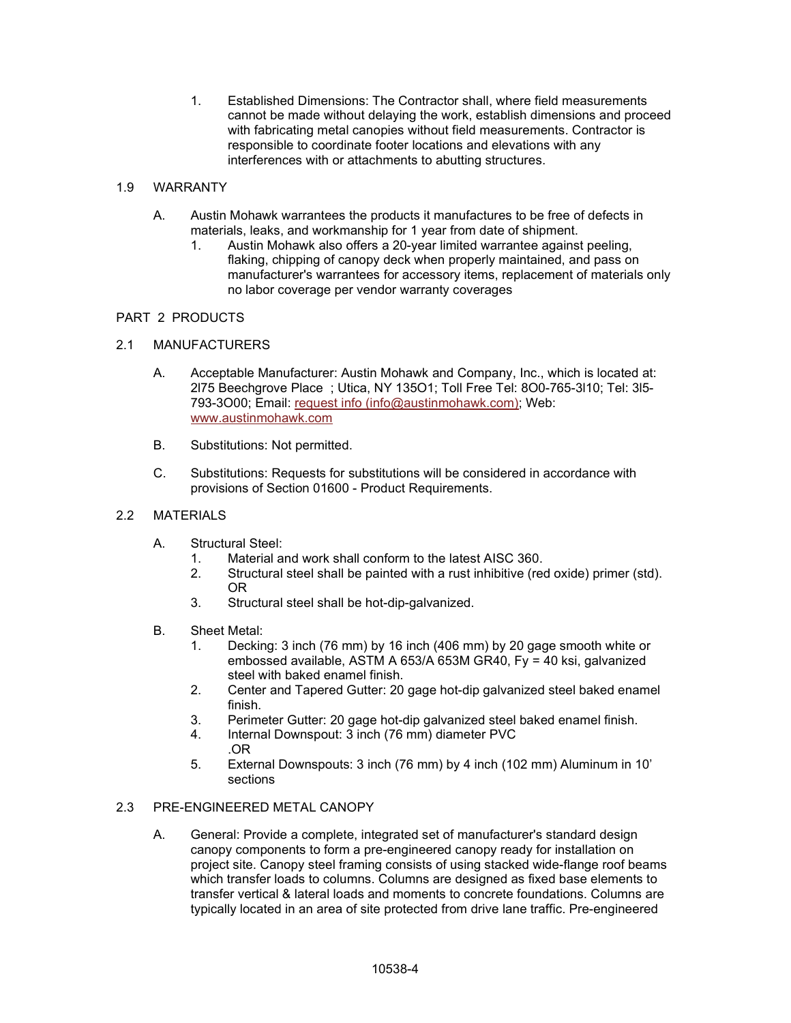1. Established Dimensions: The Contractor shall, where field measurements cannot be made without delaying the work, establish dimensions and proceed with fabricating metal canopies without field measurements. Contractor is responsible to coordinate footer locations and elevations with any interferences with or attachments to abutting structures.

# 1.9 WARRANTY

- A. Austin Mohawk warrantees the products it manufactures to be free of defects in materials, leaks, and workmanship for 1 year from date of shipment.
	- 1. Austin Mohawk also offers a 20-year limited warrantee against peeling, flaking, chipping of canopy deck when properly maintained, and pass on manufacturer's warrantees for accessory items, replacement of materials only no labor coverage per vendor warranty coverages

# PART 2 PRODUCTS

# 2.1 MANUFACTURERS

- A. Acceptable Manufacturer: Austin Mohawk and Company, Inc., which is located at: 2l75 Beechgrove Place ; Utica, NY 135O1; Toll Free Tel: 8O0-765-3l10; Tel: 3l5- 793-3O00; Email: request info (info@austinmohawk.com); Web: www.austinmohawk.com
- B. Substitutions: Not permitted.
- C. Substitutions: Requests for substitutions will be considered in accordance with provisions of Section 01600 - Product Requirements.

# 2.2 MATERIALS

- A. Structural Steel:
	- 1. Material and work shall conform to the latest AISC 360.
	- 2. Structural steel shall be painted with a rust inhibitive (red oxide) primer (std). OR
	- 3. Structural steel shall be hot-dip-galvanized.
- B. Sheet Metal:
	- 1. Decking: 3 inch (76 mm) by 16 inch (406 mm) by 20 gage smooth white or embossed available, ASTM A 653/A 653M GR40, Fy = 40 ksi, galvanized steel with baked enamel finish.
	- 2. Center and Tapered Gutter: 20 gage hot-dip galvanized steel baked enamel finish.
	- 3. Perimeter Gutter: 20 gage hot-dip galvanized steel baked enamel finish.
	- 4. Internal Downspout: 3 inch (76 mm) diameter PVC .OR
	- 5. External Downspouts: 3 inch (76 mm) by 4 inch (102 mm) Aluminum in 10' sections

# 2.3 PRE-ENGINEERED METAL CANOPY

A. General: Provide a complete, integrated set of manufacturer's standard design canopy components to form a pre-engineered canopy ready for installation on project site. Canopy steel framing consists of using stacked wide-flange roof beams which transfer loads to columns. Columns are designed as fixed base elements to transfer vertical & lateral loads and moments to concrete foundations. Columns are typically located in an area of site protected from drive lane traffic. Pre-engineered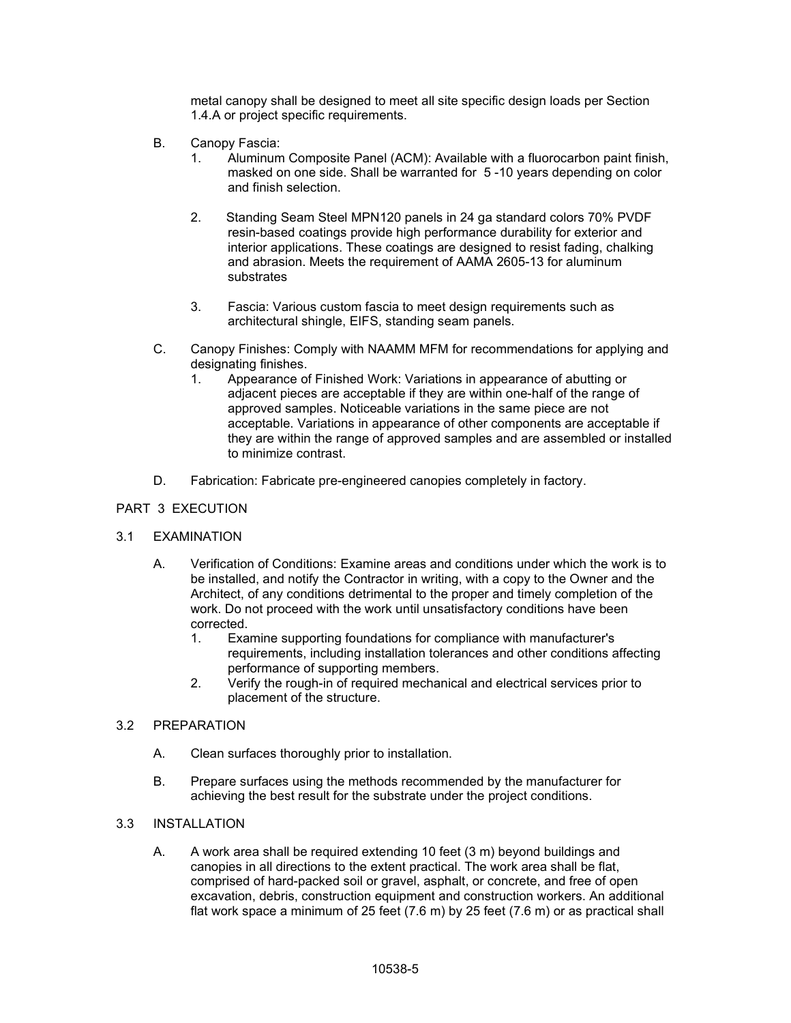metal canopy shall be designed to meet all site specific design loads per Section 1.4.A or project specific requirements.

- B. Canopy Fascia:
	- 1. Aluminum Composite Panel (ACM): Available with a fluorocarbon paint finish, masked on one side. Shall be warranted for 5 -10 years depending on color and finish selection.
	- 2. Standing Seam Steel MPN120 panels in 24 ga standard colors 70% PVDF resin-based coatings provide high performance durability for exterior and interior applications. These coatings are designed to resist fading, chalking and abrasion. Meets the requirement of AAMA 2605-13 for aluminum substrates
	- 3. Fascia: Various custom fascia to meet design requirements such as architectural shingle, EIFS, standing seam panels.
- C. Canopy Finishes: Comply with NAAMM MFM for recommendations for applying and designating finishes.
	- 1. Appearance of Finished Work: Variations in appearance of abutting or adjacent pieces are acceptable if they are within one-half of the range of approved samples. Noticeable variations in the same piece are not acceptable. Variations in appearance of other components are acceptable if they are within the range of approved samples and are assembled or installed to minimize contrast.
- D. Fabrication: Fabricate pre-engineered canopies completely in factory.

### PART 3 EXECUTION

#### 3.1 EXAMINATION

- A. Verification of Conditions: Examine areas and conditions under which the work is to be installed, and notify the Contractor in writing, with a copy to the Owner and the Architect, of any conditions detrimental to the proper and timely completion of the work. Do not proceed with the work until unsatisfactory conditions have been corrected.
	- 1. Examine supporting foundations for compliance with manufacturer's requirements, including installation tolerances and other conditions affecting performance of supporting members.
	- 2. Verify the rough-in of required mechanical and electrical services prior to placement of the structure.

#### 3.2 PREPARATION

- A. Clean surfaces thoroughly prior to installation.
- B. Prepare surfaces using the methods recommended by the manufacturer for achieving the best result for the substrate under the project conditions.

### 3.3 INSTALLATION

A. A work area shall be required extending 10 feet (3 m) beyond buildings and canopies in all directions to the extent practical. The work area shall be flat, comprised of hard-packed soil or gravel, asphalt, or concrete, and free of open excavation, debris, construction equipment and construction workers. An additional flat work space a minimum of 25 feet (7.6 m) by 25 feet (7.6 m) or as practical shall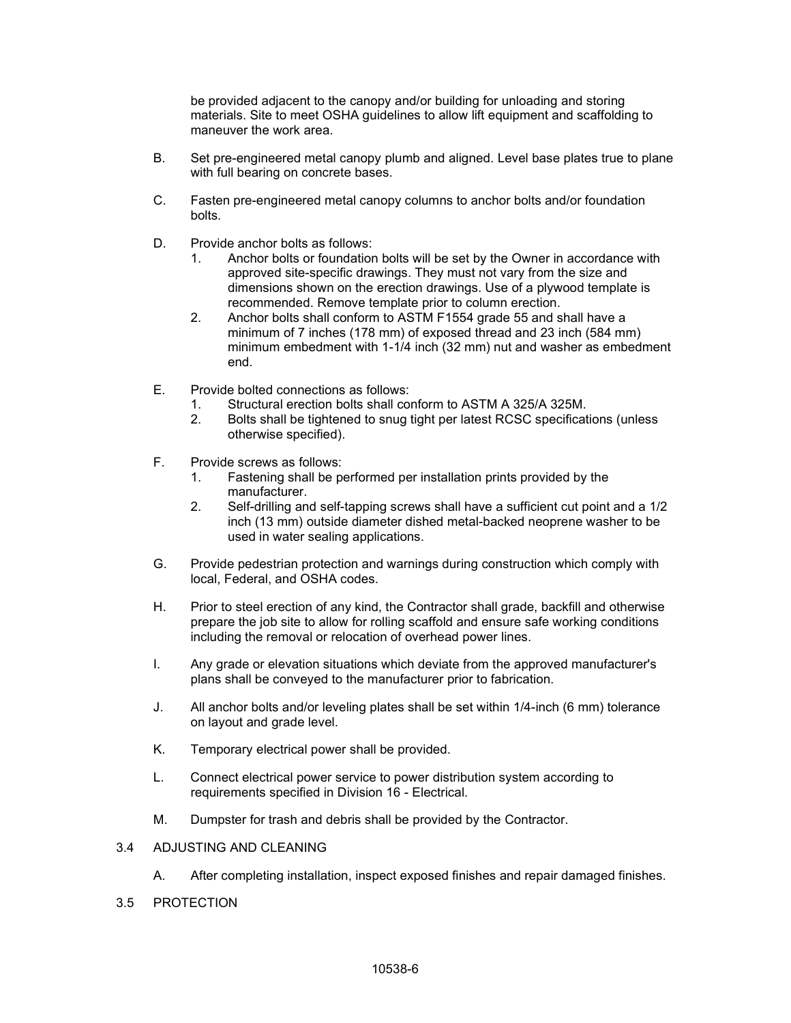be provided adjacent to the canopy and/or building for unloading and storing materials. Site to meet OSHA guidelines to allow lift equipment and scaffolding to maneuver the work area.

- B. Set pre-engineered metal canopy plumb and aligned. Level base plates true to plane with full bearing on concrete bases.
- C. Fasten pre-engineered metal canopy columns to anchor bolts and/or foundation bolts.
- D. Provide anchor bolts as follows:
	- 1. Anchor bolts or foundation bolts will be set by the Owner in accordance with approved site-specific drawings. They must not vary from the size and dimensions shown on the erection drawings. Use of a plywood template is recommended. Remove template prior to column erection.
	- 2. Anchor bolts shall conform to ASTM F1554 grade 55 and shall have a minimum of 7 inches (178 mm) of exposed thread and 23 inch (584 mm) minimum embedment with 1-1/4 inch (32 mm) nut and washer as embedment end.
- E. Provide bolted connections as follows:
	- 1. Structural erection bolts shall conform to ASTM A 325/A 325M.
	- 2. Bolts shall be tightened to snug tight per latest RCSC specifications (unless otherwise specified).
- F. Provide screws as follows:
	- 1. Fastening shall be performed per installation prints provided by the manufacturer.
	- 2. Self-drilling and self-tapping screws shall have a sufficient cut point and a 1/2 inch (13 mm) outside diameter dished metal-backed neoprene washer to be used in water sealing applications.
- G. Provide pedestrian protection and warnings during construction which comply with local, Federal, and OSHA codes.
- H. Prior to steel erection of any kind, the Contractor shall grade, backfill and otherwise prepare the job site to allow for rolling scaffold and ensure safe working conditions including the removal or relocation of overhead power lines.
- I. Any grade or elevation situations which deviate from the approved manufacturer's plans shall be conveyed to the manufacturer prior to fabrication.
- J. All anchor bolts and/or leveling plates shall be set within 1/4-inch (6 mm) tolerance on layout and grade level.
- K. Temporary electrical power shall be provided.
- L. Connect electrical power service to power distribution system according to requirements specified in Division 16 - Electrical.
- M. Dumpster for trash and debris shall be provided by the Contractor.

#### 3.4 ADJUSTING AND CLEANING

- A. After completing installation, inspect exposed finishes and repair damaged finishes.
- 3.5 PROTECTION